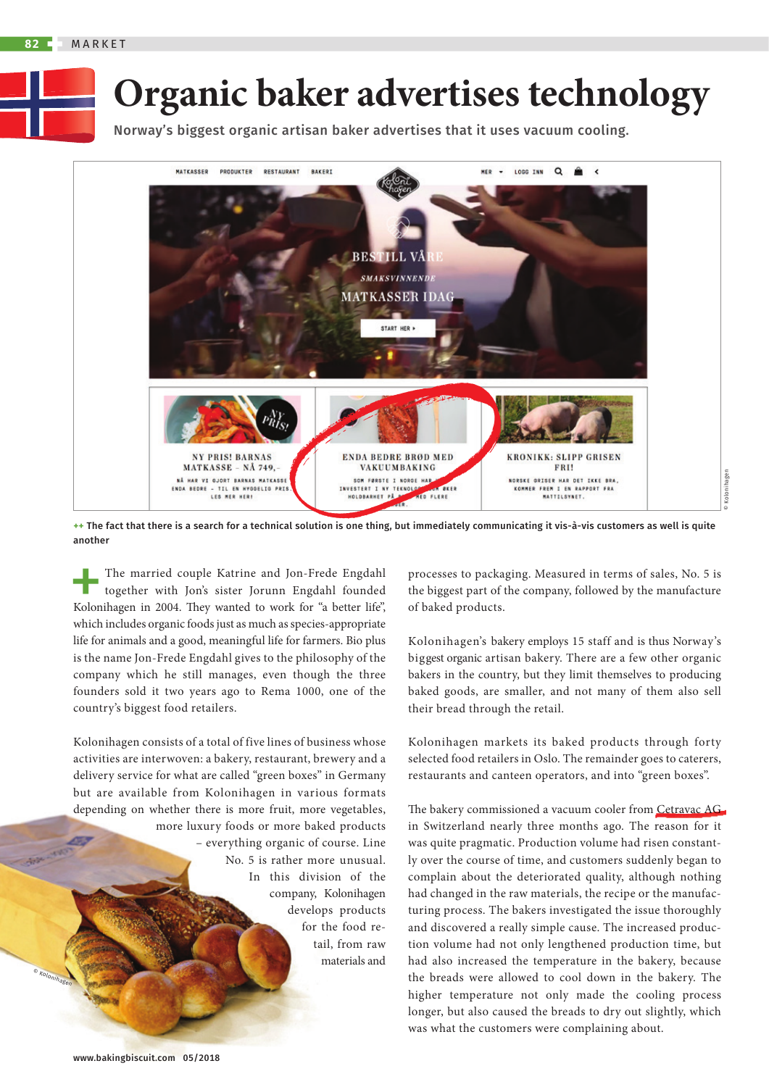

Norway's biggest organic artisan baker advertises that it uses vacuum cooling.



**++** The fact that there is a search for a technical solution is one thing, but immediately communicating it vis-à-vis customers as well is quite another

+ The married couple Katrine and Jon-Frede Engdahl Kolonihagen in 2004. They wanted to work for "a better life", together with Jon's sister Jorunn Engdahl founded which includes organic foods just as much as species-appropriate life for animals and a good, meaningful life for farmers. Bio plus is the name Jon-Frede Engdahl gives to the philosophy of the company which he still manages, even though the three founders sold it two years ago to Rema 1000, one of the country's biggest food retailers.

Kolonihagen consists of a total of five lines of business whose activities are interwoven: a bakery, restaurant, brewery and a delivery service for what are called "green boxes" in Germany but are available from Kolonihagen in various formats depending on whether there is more fruit, more vegetables, more luxury foods or more baked products – everything organic of course. Line No. 5 is rather more unusual. In this division of the company, Kolonihagen develops products for the food retail, from raw materials and

processes to packaging. Measured in terms of sales, No. 5 is the biggest part of the company, followed by the manufacture of baked products.

Kolonihagen's bakery employs 15 staff and is thus Norway's biggest organic artisan bakery. There are a few other organic bakers in the country, but they limit themselves to producing baked goods, are smaller, and not many of them also sell their bread through the retail.

Kolonihagen markets its baked products through forty selected food retailers in Oslo. The remainder goes to caterers, restaurants and canteen operators, and into "green boxes".

The bakery commissioned a vacuum cooler from Cetravac AG in Switzerland nearly three months ago. The reason for it was quite pragmatic. Production volume had risen constantly over the course of time, and customers suddenly began to complain about the deteriorated quality, although nothing had changed in the raw materials, the recipe or the manufacturing process. The bakers investigated the issue thoroughly and discovered a really simple cause. The increased production volume had not only lengthened production time, but had also increased the temperature in the bakery, because the breads were allowed to cool down in the bakery. The higher temperature not only made the cooling process longer, but also caused the breads to dry out slightly, which was what the customers were complaining about.

© Kolonihagen